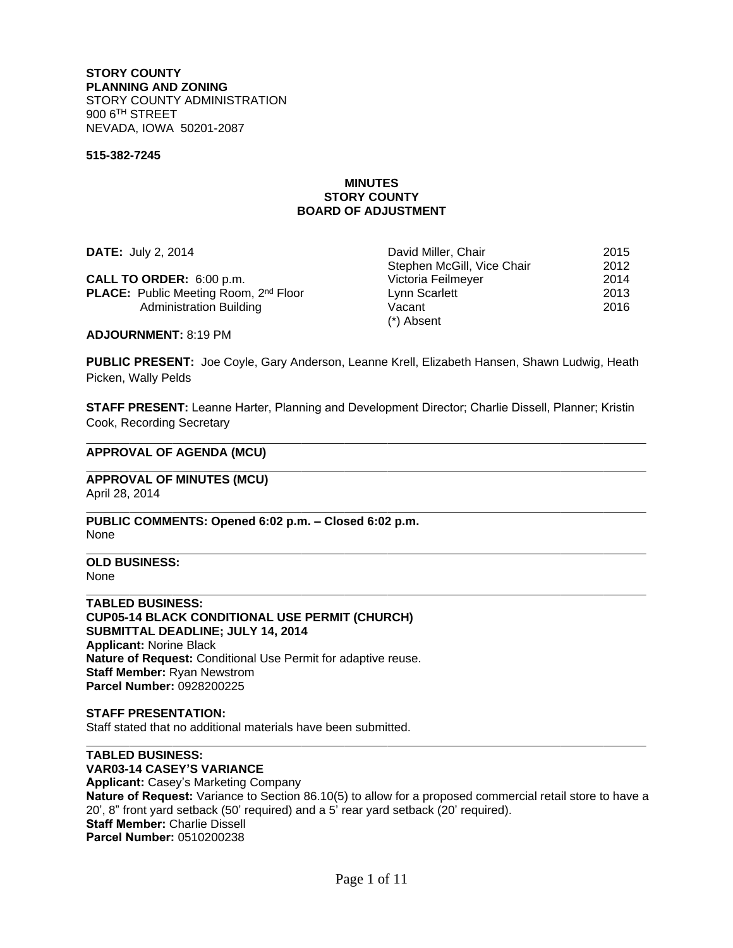**STORY COUNTY PLANNING AND ZONING** STORY COUNTY ADMINISTRATION 900 6 TH STREET NEVADA, IOWA 50201-2087

#### **515-382-7245**

### **MINUTES STORY COUNTY BOARD OF ADJUSTMENT**

| <b>DATE: July 2, 2014</b>                                | David Miller, Chair        | 2015 |
|----------------------------------------------------------|----------------------------|------|
|                                                          | Stephen McGill, Vice Chair | 2012 |
| CALL TO ORDER: 6:00 p.m.                                 | Victoria Feilmeyer         | 2014 |
| <b>PLACE:</b> Public Meeting Room, 2 <sup>nd</sup> Floor | Lynn Scarlett              | 2013 |
| Administration Building                                  | Vacant                     | 2016 |
|                                                          | (*) Absent                 |      |

**ADJOURNMENT:** 8:19 PM

PUBLIC PRESENT: Joe Coyle, Gary Anderson, Leanne Krell, Elizabeth Hansen, Shawn Ludwig, Heath Picken, Wally Pelds

**STAFF PRESENT:** Leanne Harter, Planning and Development Director; Charlie Dissell, Planner; Kristin Cook, Recording Secretary

#### **APPROVAL OF AGENDA (MCU)**

**APPROVAL OF MINUTES (MCU)** April 28, 2014

**PUBLIC COMMENTS: Opened 6:02 p.m. – Closed 6:02 p.m.** None

**OLD BUSINESS:** None

 $\overline{a}$ 

 $\overline{a}$ 

 $\overline{a}$ 

 $\overline{a}$ 

 $\overline{a}$ 

 $\overline{a}$ 

**TABLED BUSINESS: CUP05-14 BLACK CONDITIONAL USE PERMIT (CHURCH) SUBMITTAL DEADLINE; JULY 14, 2014 Applicant:** Norine Black **Nature of Request:** Conditional Use Permit for adaptive reuse. **Staff Member:** Ryan Newstrom **Parcel Number:** 0928200225

**STAFF PRESENTATION:** Staff stated that no additional materials have been submitted.

**TABLED BUSINESS: VAR03-14 CASEY'S VARIANCE Applicant:** Casey's Marketing Company **Nature of Request:** Variance to Section 86.10(5) to allow for a proposed commercial retail store to have a 20', 8" front yard setback (50' required) and a 5' rear yard setback (20' required). **Staff Member:** Charlie Dissell **Parcel Number:** 0510200238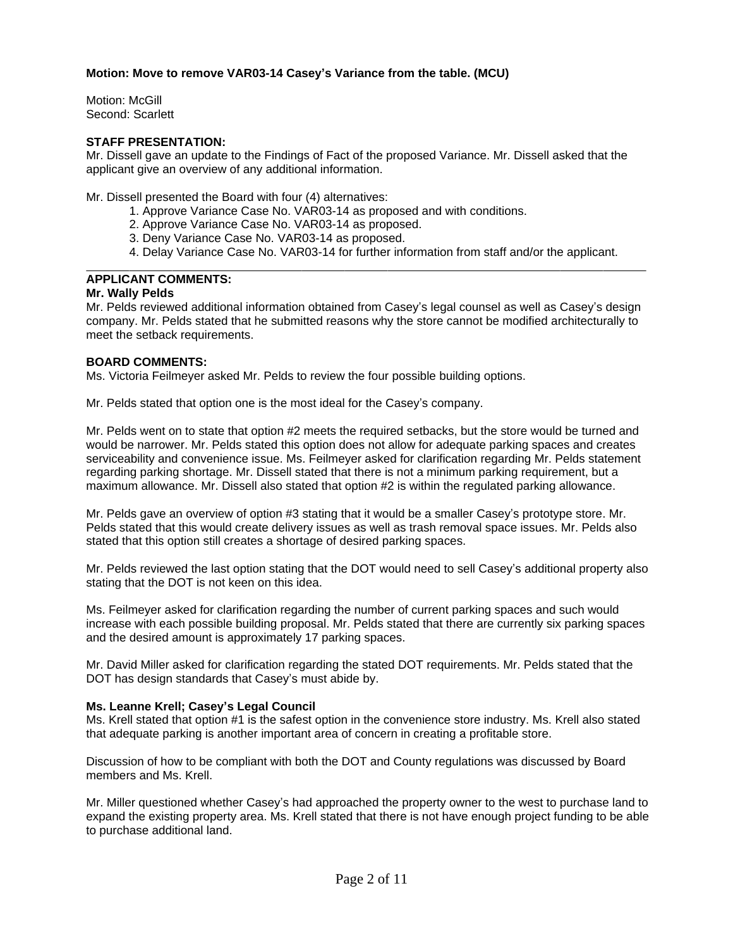# **Motion: Move to remove VAR03-14 Casey's Variance from the table. (MCU)**

Motion: McGill Second: Scarlett

## **STAFF PRESENTATION:**

Mr. Dissell gave an update to the Findings of Fact of the proposed Variance. Mr. Dissell asked that the applicant give an overview of any additional information.

Mr. Dissell presented the Board with four (4) alternatives:

- 1. Approve Variance Case No. VAR03-14 as proposed and with conditions.
- 2. Approve Variance Case No. VAR03-14 as proposed.
- 3. Deny Variance Case No. VAR03-14 as proposed.
- 4. Delay Variance Case No. VAR03-14 for further information from staff and/or the applicant.

#### $\overline{a}$ **APPLICANT COMMENTS:**

### **Mr. Wally Pelds**

Mr. Pelds reviewed additional information obtained from Casey's legal counsel as well as Casey's design company. Mr. Pelds stated that he submitted reasons why the store cannot be modified architecturally to meet the setback requirements.

## **BOARD COMMENTS:**

Ms. Victoria Feilmeyer asked Mr. Pelds to review the four possible building options.

Mr. Pelds stated that option one is the most ideal for the Casey's company.

Mr. Pelds went on to state that option #2 meets the required setbacks, but the store would be turned and would be narrower. Mr. Pelds stated this option does not allow for adequate parking spaces and creates serviceability and convenience issue. Ms. Feilmeyer asked for clarification regarding Mr. Pelds statement regarding parking shortage. Mr. Dissell stated that there is not a minimum parking requirement, but a maximum allowance. Mr. Dissell also stated that option #2 is within the regulated parking allowance.

Mr. Pelds gave an overview of option #3 stating that it would be a smaller Casey's prototype store. Mr. Pelds stated that this would create delivery issues as well as trash removal space issues. Mr. Pelds also stated that this option still creates a shortage of desired parking spaces.

Mr. Pelds reviewed the last option stating that the DOT would need to sell Casey's additional property also stating that the DOT is not keen on this idea.

Ms. Feilmeyer asked for clarification regarding the number of current parking spaces and such would increase with each possible building proposal. Mr. Pelds stated that there are currently six parking spaces and the desired amount is approximately 17 parking spaces.

Mr. David Miller asked for clarification regarding the stated DOT requirements. Mr. Pelds stated that the DOT has design standards that Casey's must abide by.

### **Ms. Leanne Krell; Casey's Legal Council**

Ms. Krell stated that option #1 is the safest option in the convenience store industry. Ms. Krell also stated that adequate parking is another important area of concern in creating a profitable store.

Discussion of how to be compliant with both the DOT and County regulations was discussed by Board members and Ms. Krell.

Mr. Miller questioned whether Casey's had approached the property owner to the west to purchase land to expand the existing property area. Ms. Krell stated that there is not have enough project funding to be able to purchase additional land.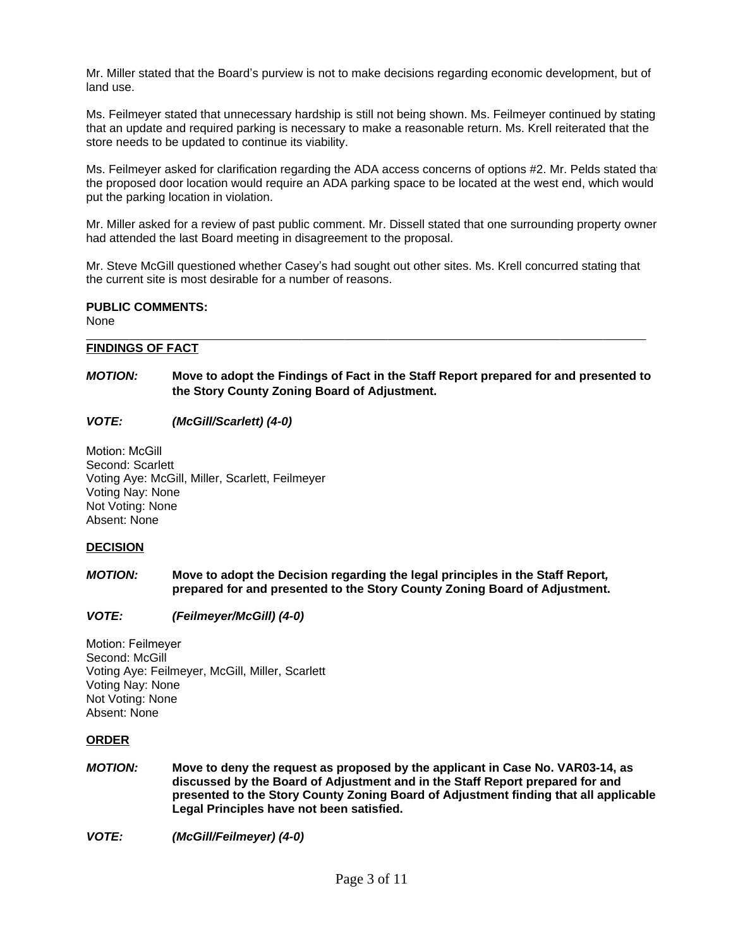Mr. Miller stated that the Board's purview is not to make decisions regarding economic development, but of land use.

Ms. Feilmeyer stated that unnecessary hardship is still not being shown. Ms. Feilmeyer continued by stating that an update and required parking is necessary to make a reasonable return. Ms. Krell reiterated that the store needs to be updated to continue its viability.

Ms. Feilmeyer asked for clarification regarding the ADA access concerns of options #2. Mr. Pelds stated that the proposed door location would require an ADA parking space to be located at the west end, which would put the parking location in violation.

Mr. Miller asked for a review of past public comment. Mr. Dissell stated that one surrounding property owner had attended the last Board meeting in disagreement to the proposal.

Mr. Steve McGill questioned whether Casey's had sought out other sites. Ms. Krell concurred stating that the current site is most desirable for a number of reasons.

# **PUBLIC COMMENTS:**

None

#### $\overline{a}$ **FINDINGS OF FACT**

# *MOTION:* **Move to adopt the Findings of Fact in the Staff Report prepared for and presented to the Story County Zoning Board of Adjustment.**

*VOTE: (McGill/Scarlett) (4-0)*

Motion: McGill Second: Scarlett Voting Aye: McGill, Miller, Scarlett, Feilmeyer Voting Nay: None Not Voting: None Absent: None

### **DECISION**

- *MOTION:* **Move to adopt the Decision regarding the legal principles in the Staff Report***,* **prepared for and presented to the Story County Zoning Board of Adjustment.**
- *VOTE: (Feilmeyer/McGill) (4-0)*

Motion: Feilmeyer Second: McGill Voting Aye: Feilmeyer, McGill, Miller, Scarlett Voting Nay: None Not Voting: None Absent: None

### **ORDER**

*MOTION:* **Move to deny the request as proposed by the applicant in Case No. VAR03-14, as discussed by the Board of Adjustment and in the Staff Report prepared for and presented to the Story County Zoning Board of Adjustment finding that all applicable Legal Principles have not been satisfied.**

*VOTE: (McGill/Feilmeyer) (4-0)*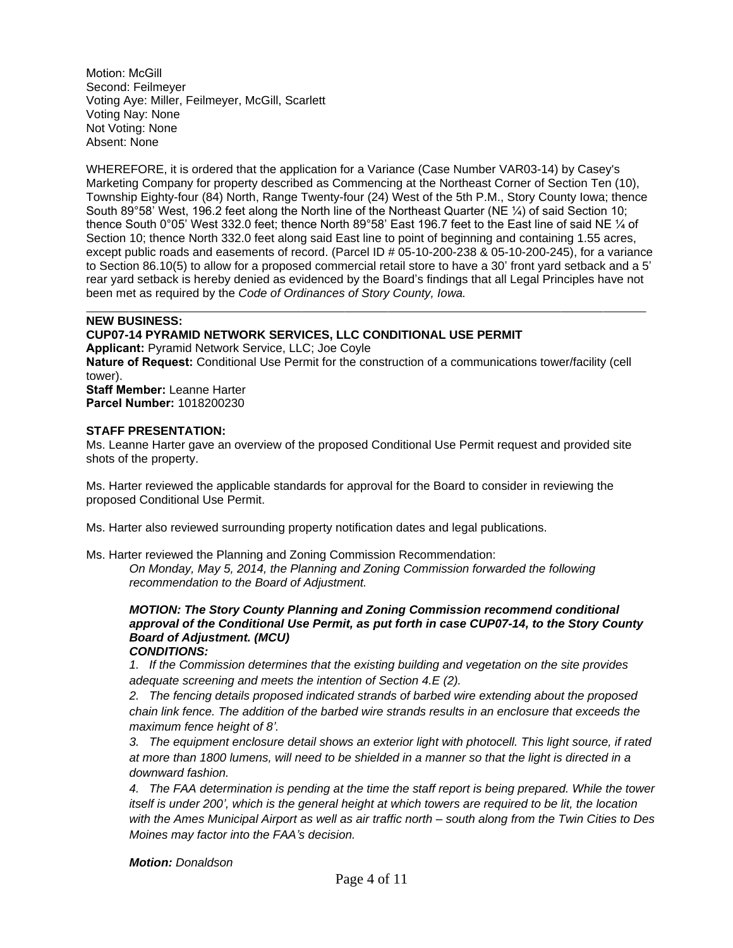Motion: McGill Second: Feilmeyer Voting Aye: Miller, Feilmeyer, McGill, Scarlett Voting Nay: None Not Voting: None Absent: None

WHEREFORE, it is ordered that the application for a Variance (Case Number VAR03-14) by Casey's Marketing Company for property described as Commencing at the Northeast Corner of Section Ten (10), Township Eighty-four (84) North, Range Twenty-four (24) West of the 5th P.M., Story County Iowa; thence South 89°58' West, 196.2 feet along the North line of the Northeast Quarter (NE ¼) of said Section 10; thence South 0°05' West 332.0 feet; thence North 89°58' East 196.7 feet to the East line of said NE ¼ of Section 10; thence North 332.0 feet along said East line to point of beginning and containing 1.55 acres, except public roads and easements of record. (Parcel ID # 05-10-200-238 & 05-10-200-245), for a variance to Section 86.10(5) to allow for a proposed commercial retail store to have a 30' front yard setback and a 5' rear yard setback is hereby denied as evidenced by the Board's findings that all Legal Principles have not been met as required by the *Code of Ordinances of Story County, Iowa.*

#### $\overline{a}$ **NEW BUSINESS:**

## **CUP07-14 PYRAMID NETWORK SERVICES, LLC CONDITIONAL USE PERMIT**

**Applicant:** Pyramid Network Service, LLC; Joe Coyle **Nature of Request:** Conditional Use Permit for the construction of a communications tower/facility (cell tower). **Staff Member:** Leanne Harter **Parcel Number:** 1018200230

#### **STAFF PRESENTATION:**

Ms. Leanne Harter gave an overview of the proposed Conditional Use Permit request and provided site shots of the property.

Ms. Harter reviewed the applicable standards for approval for the Board to consider in reviewing the proposed Conditional Use Permit.

Ms. Harter also reviewed surrounding property notification dates and legal publications.

Ms. Harter reviewed the Planning and Zoning Commission Recommendation:

*On Monday, May 5, 2014, the Planning and Zoning Commission forwarded the following recommendation to the Board of Adjustment.*

#### *MOTION: The Story County Planning and Zoning Commission recommend conditional approval of the Conditional Use Permit, as put forth in case CUP07-14, to the Story County Board of Adjustment. (MCU) CONDITIONS:*

*1. If the Commission determines that the existing building and vegetation on the site provides adequate screening and meets the intention of Section 4.E (2).*

*2. The fencing details proposed indicated strands of barbed wire extending about the proposed chain link fence. The addition of the barbed wire strands results in an enclosure that exceeds the maximum fence height of 8'.*

*3. The equipment enclosure detail shows an exterior light with photocell. This light source, if rated at more than 1800 lumens, will need to be shielded in a manner so that the light is directed in a downward fashion.*

*4. The FAA determination is pending at the time the staff report is being prepared. While the tower itself is under 200', which is the general height at which towers are required to be lit, the location with the Ames Municipal Airport as well as air traffic north – south along from the Twin Cities to Des Moines may factor into the FAA's decision.*

*Motion: Donaldson*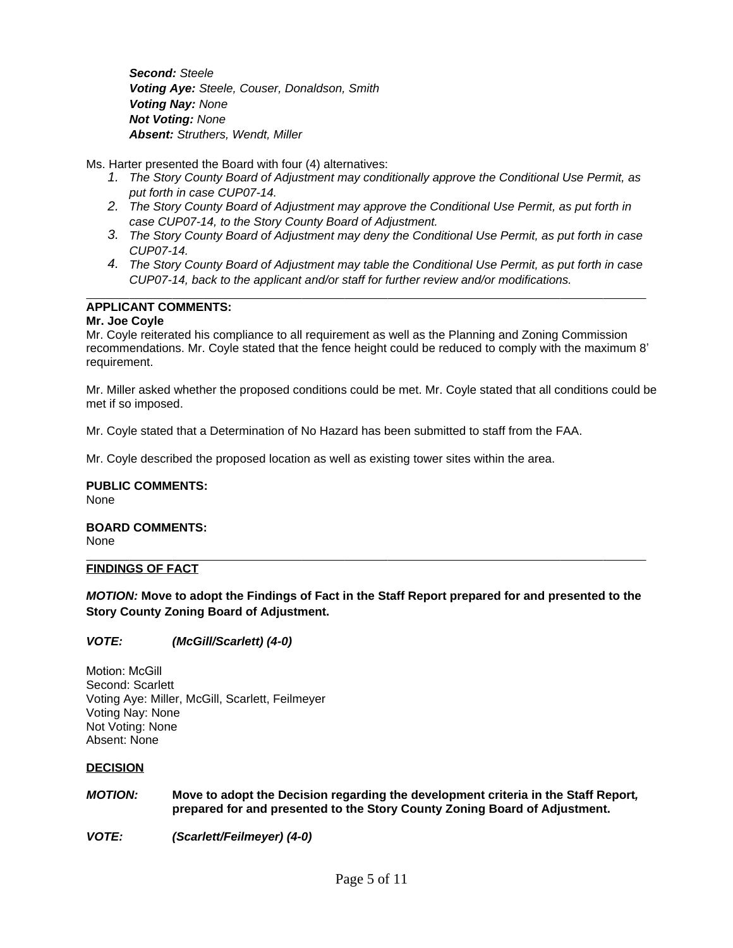*Second: Steele Voting Aye: Steele, Couser, Donaldson, Smith Voting Nay: None Not Voting: None Absent: Struthers, Wendt, Miller*

Ms. Harter presented the Board with four (4) alternatives:

- *1. The Story County Board of Adjustment may conditionally approve the Conditional Use Permit, as put forth in case CUP07-14.*
- *2. The Story County Board of Adjustment may approve the Conditional Use Permit, as put forth in case CUP07-14, to the Story County Board of Adjustment.*
- *3. The Story County Board of Adjustment may deny the Conditional Use Permit, as put forth in case CUP07-14.*
- *4. The Story County Board of Adjustment may table the Conditional Use Permit, as put forth in case CUP07-14, back to the applicant and/or staff for further review and/or modifications.*

#### $\overline{a}$ **APPLICANT COMMENTS:**

# **Mr. Joe Coyle**

Mr. Coyle reiterated his compliance to all requirement as well as the Planning and Zoning Commission recommendations. Mr. Coyle stated that the fence height could be reduced to comply with the maximum 8' requirement.

Mr. Miller asked whether the proposed conditions could be met. Mr. Coyle stated that all conditions could be met if so imposed.

Mr. Coyle stated that a Determination of No Hazard has been submitted to staff from the FAA.

Mr. Coyle described the proposed location as well as existing tower sites within the area.

**PUBLIC COMMENTS:** None

#### **BOARD COMMENTS:** None

#### $\overline{a}$ **FINDINGS OF FACT**

*MOTION:* **Move to adopt the Findings of Fact in the Staff Report prepared for and presented to the Story County Zoning Board of Adjustment.**

# *VOTE: (McGill/Scarlett) (4-0)*

Motion: McGill Second: Scarlett Voting Aye: Miller, McGill, Scarlett, Feilmeyer Voting Nay: None Not Voting: None Absent: None

### **DECISION**

*MOTION:* **Move to adopt the Decision regarding the development criteria in the Staff Report***,* **prepared for and presented to the Story County Zoning Board of Adjustment.**

*VOTE: (Scarlett/Feilmeyer) (4-0)*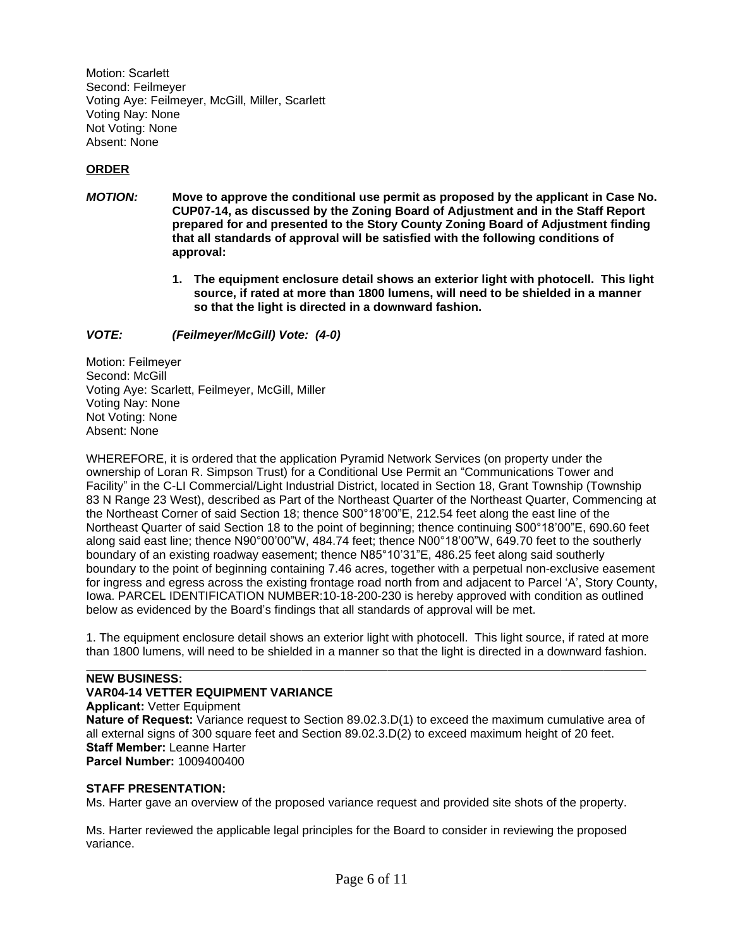Motion: Scarlett Second: Feilmeyer Voting Aye: Feilmeyer, McGill, Miller, Scarlett Voting Nay: None Not Voting: None Absent: None

# **ORDER**

- *MOTION:* **Move to approve the conditional use permit as proposed by the applicant in Case No. CUP07-14, as discussed by the Zoning Board of Adjustment and in the Staff Report prepared for and presented to the Story County Zoning Board of Adjustment finding that all standards of approval will be satisfied with the following conditions of approval:**
	- **1. The equipment enclosure detail shows an exterior light with photocell. This light source, if rated at more than 1800 lumens, will need to be shielded in a manner so that the light is directed in a downward fashion.**

*VOTE: (Feilmeyer/McGill) Vote: (4-0)*

Motion: Feilmeyer Second: McGill Voting Aye: Scarlett, Feilmeyer, McGill, Miller Voting Nay: None Not Voting: None Absent: None

WHEREFORE, it is ordered that the application Pyramid Network Services (on property under the ownership of Loran R. Simpson Trust) for a Conditional Use Permit an "Communications Tower and Facility" in the C-LI Commercial/Light Industrial District, located in Section 18, Grant Township (Township 83 N Range 23 West), described as Part of the Northeast Quarter of the Northeast Quarter, Commencing at the Northeast Corner of said Section 18; thence S00°18'00"E, 212.54 feet along the east line of the Northeast Quarter of said Section 18 to the point of beginning; thence continuing S00°18'00"E, 690.60 feet along said east line; thence N90°00'00"W, 484.74 feet; thence N00°18'00"W, 649.70 feet to the southerly boundary of an existing roadway easement; thence N85°10'31"E, 486.25 feet along said southerly boundary to the point of beginning containing 7.46 acres, together with a perpetual non-exclusive easement for ingress and egress across the existing frontage road north from and adjacent to Parcel 'A', Story County, Iowa. PARCEL IDENTIFICATION NUMBER:10-18-200-230 is hereby approved with condition as outlined below as evidenced by the Board's findings that all standards of approval will be met.

1. The equipment enclosure detail shows an exterior light with photocell. This light source, if rated at more than 1800 lumens, will need to be shielded in a manner so that the light is directed in a downward fashion.

#### $\overline{a}$ **NEW BUSINESS:**

### **VAR04-14 VETTER EQUIPMENT VARIANCE**

**Applicant:** Vetter Equipment **Nature of Request:** Variance request to Section 89.02.3.D(1) to exceed the maximum cumulative area of all external signs of 300 square feet and Section 89.02.3.D(2) to exceed maximum height of 20 feet. **Staff Member:** Leanne Harter **Parcel Number:** 1009400400

# **STAFF PRESENTATION:**

Ms. Harter gave an overview of the proposed variance request and provided site shots of the property.

Ms. Harter reviewed the applicable legal principles for the Board to consider in reviewing the proposed variance.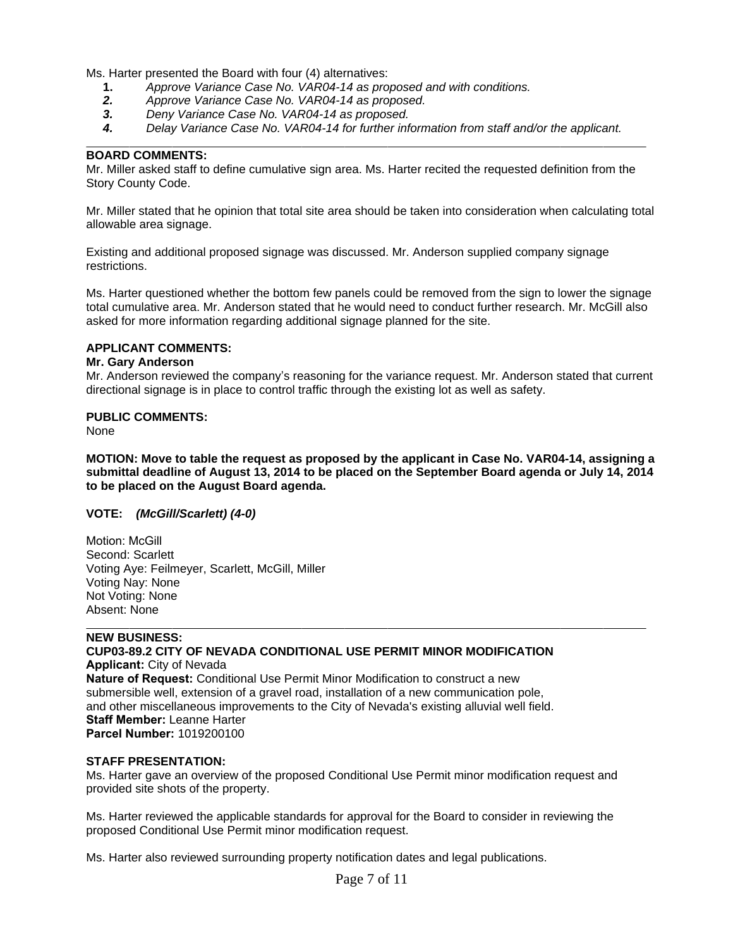Ms. Harter presented the Board with four (4) alternatives:

- **1.** *Approve Variance Case No. VAR04-14 as proposed and with conditions.*
- *2. Approve Variance Case No. VAR04-14 as proposed.*
- *3. Deny Variance Case No. VAR04-14 as proposed.*
- *4. Delay Variance Case No. VAR04-14 for further information from staff and/or the applicant.*

## **BOARD COMMENTS:**

 $\overline{a}$ 

Mr. Miller asked staff to define cumulative sign area. Ms. Harter recited the requested definition from the Story County Code.

Mr. Miller stated that he opinion that total site area should be taken into consideration when calculating total allowable area signage.

Existing and additional proposed signage was discussed. Mr. Anderson supplied company signage restrictions.

Ms. Harter questioned whether the bottom few panels could be removed from the sign to lower the signage total cumulative area. Mr. Anderson stated that he would need to conduct further research. Mr. McGill also asked for more information regarding additional signage planned for the site.

# **APPLICANT COMMENTS:**

### **Mr. Gary Anderson**

Mr. Anderson reviewed the company's reasoning for the variance request. Mr. Anderson stated that current directional signage is in place to control traffic through the existing lot as well as safety.

### **PUBLIC COMMENTS:**

None

**MOTION: Move to table the request as proposed by the applicant in Case No. VAR04-14, assigning a submittal deadline of August 13, 2014 to be placed on the September Board agenda or July 14, 2014 to be placed on the August Board agenda.**

### **VOTE:** *(McGill/Scarlett) (4-0)*

Motion: McGill Second: Scarlett Voting Aye: Feilmeyer, Scarlett, McGill, Miller Voting Nay: None Not Voting: None Absent: None

## $\overline{a}$ **NEW BUSINESS: CUP03-89.2 CITY OF NEVADA CONDITIONAL USE PERMIT MINOR MODIFICATION Applicant:** City of Nevada

**Nature of Request:** Conditional Use Permit Minor Modification to construct a new submersible well, extension of a gravel road, installation of a new communication pole, and other miscellaneous improvements to the City of Nevada's existing alluvial well field. **Staff Member:** Leanne Harter **Parcel Number:** 1019200100

### **STAFF PRESENTATION:**

Ms. Harter gave an overview of the proposed Conditional Use Permit minor modification request and provided site shots of the property.

Ms. Harter reviewed the applicable standards for approval for the Board to consider in reviewing the proposed Conditional Use Permit minor modification request.

Ms. Harter also reviewed surrounding property notification dates and legal publications.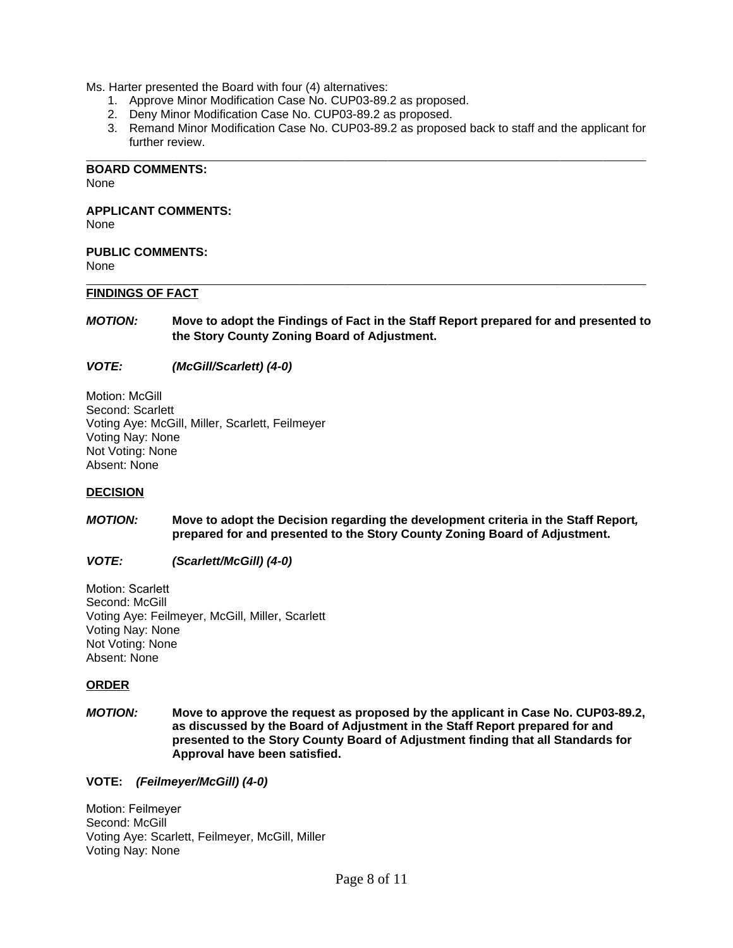Ms. Harter presented the Board with four (4) alternatives:

- 1. Approve Minor Modification Case No. CUP03-89.2 as proposed.
- 2. Deny Minor Modification Case No. CUP03-89.2 as proposed.
- 3. Remand Minor Modification Case No. CUP03-89.2 as proposed back to staff and the applicant for further review.

 $\overline{a}$ **BOARD COMMENTS:**

None

**APPLICANT COMMENTS:**

None

**PUBLIC COMMENTS:** None

#### $\overline{a}$ **FINDINGS OF FACT**

*MOTION:* **Move to adopt the Findings of Fact in the Staff Report prepared for and presented to the Story County Zoning Board of Adjustment.**

*VOTE: (McGill/Scarlett) (4-0)*

Motion: McGill Second: Scarlett Voting Aye: McGill, Miller, Scarlett, Feilmeyer Voting Nay: None Not Voting: None Absent: None

### **DECISION**

*MOTION:* **Move to adopt the Decision regarding the development criteria in the Staff Report***,* **prepared for and presented to the Story County Zoning Board of Adjustment.**

### *VOTE: (Scarlett/McGill) (4-0)*

Motion: Scarlett Second: McGill Voting Aye: Feilmeyer, McGill, Miller, Scarlett Voting Nay: None Not Voting: None Absent: None

### **ORDER**

*MOTION:* **Move to approve the request as proposed by the applicant in Case No. CUP03-89.2, as discussed by the Board of Adjustment in the Staff Report prepared for and presented to the Story County Board of Adjustment finding that all Standards for Approval have been satisfied.**

**VOTE:** *(Feilmeyer/McGill) (4-0)*

Motion: Feilmeyer Second: McGill Voting Aye: Scarlett, Feilmeyer, McGill, Miller Voting Nay: None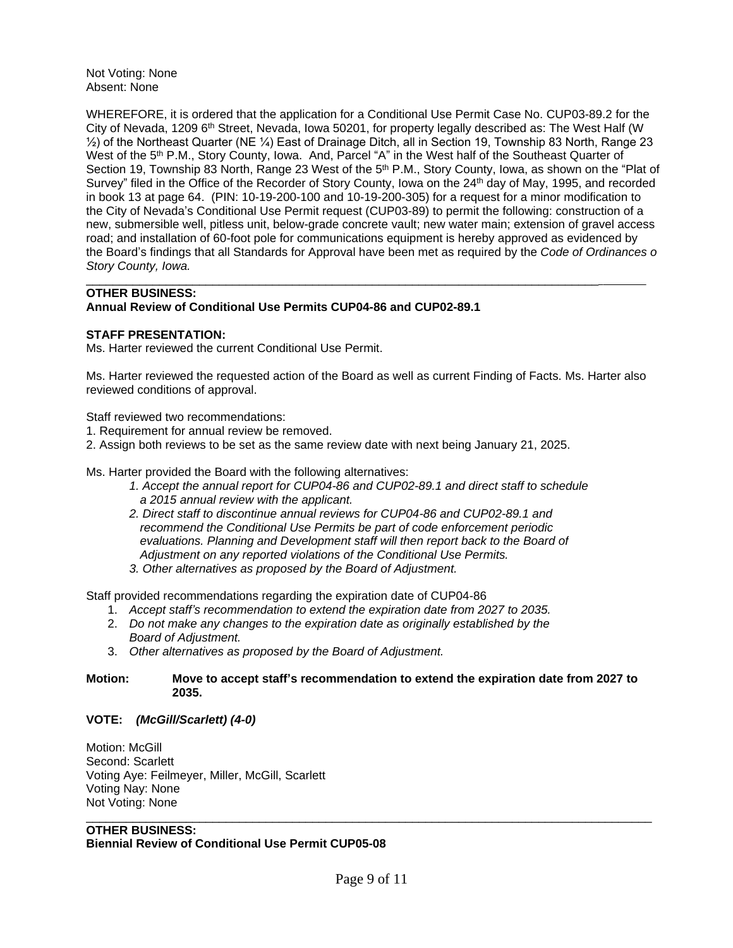Not Voting: None Absent: None

WHEREFORE, it is ordered that the application for a Conditional Use Permit Case No. CUP03-89.2 for the City of Nevada, 1209 6<sup>th</sup> Street, Nevada, Iowa 50201, for property legally described as: The West Half (W ½) of the Northeast Quarter (NE ¼) East of Drainage Ditch, all in Section 19, Township 83 North, Range 23 West of the 5<sup>th</sup> P.M., Story County, Iowa. And, Parcel "A" in the West half of the Southeast Quarter of Section 19, Township 83 North, Range 23 West of the 5<sup>th</sup> P.M., Story County, Iowa, as shown on the "Plat of Survey" filed in the Office of the Recorder of Story County, Iowa on the 24<sup>th</sup> day of May, 1995, and recorded in book 13 at page 64. (PIN: 10-19-200-100 and 10-19-200-305) for a request for a minor modification to the City of Nevada's Conditional Use Permit request (CUP03-89) to permit the following: construction of a new, submersible well, pitless unit, below-grade concrete vault; new water main; extension of gravel access road; and installation of 60-foot pole for communications equipment is hereby approved as evidenced by the Board's findings that all Standards for Approval have been met as required by the *Code of Ordinances of Story County, Iowa.*

#### \_\_\_\_\_\_\_\_\_\_\_\_\_\_\_\_\_\_\_\_\_\_\_\_\_\_\_\_\_\_\_\_\_\_\_\_\_\_\_\_\_\_\_\_\_\_\_\_\_\_\_\_\_\_\_\_\_\_\_\_\_\_\_\_\_\_\_\_\_\_\_\_\_\_\_\_\_ **OTHER BUSINESS: Annual Review of Conditional Use Permits CUP04-86 and CUP02-89.1**

## **STAFF PRESENTATION:**

Ms. Harter reviewed the current Conditional Use Permit.

Ms. Harter reviewed the requested action of the Board as well as current Finding of Facts. Ms. Harter also reviewed conditions of approval.

Staff reviewed two recommendations:

- 1. Requirement for annual review be removed.
- 2. Assign both reviews to be set as the same review date with next being January 21, 2025.

Ms. Harter provided the Board with the following alternatives:

- *1. Accept the annual report for CUP04-86 and CUP02-89.1 and direct staff to schedule a 2015 annual review with the applicant.*
- *2. Direct staff to discontinue annual reviews for CUP04-86 and CUP02-89.1 and recommend the Conditional Use Permits be part of code enforcement periodic evaluations. Planning and Development staff will then report back to the Board of Adjustment on any reported violations of the Conditional Use Permits.*
- *3. Other alternatives as proposed by the Board of Adjustment.*

Staff provided recommendations regarding the expiration date of CUP04-86

- 1. *Accept staff's recommendation to extend the expiration date from 2027 to 2035.*
- 2. *Do not make any changes to the expiration date as originally established by the Board of Adjustment.*
- 3. *Other alternatives as proposed by the Board of Adjustment.*

### **Motion: Move to accept staff's recommendation to extend the expiration date from 2027 to 2035.**

# **VOTE:** *(McGill/Scarlett) (4-0)*

Motion: McGill Second: Scarlett Voting Aye: Feilmeyer, Miller, McGill, Scarlett Voting Nay: None Not Voting: None

#### \_\_\_\_\_\_\_\_\_\_\_\_\_\_\_\_\_\_\_\_\_\_\_\_\_\_\_\_\_\_\_\_\_\_\_\_\_\_\_\_\_\_\_\_\_\_\_\_\_\_\_\_\_\_\_\_\_\_\_\_\_\_\_\_\_\_\_\_\_\_\_\_\_\_\_\_\_\_\_\_\_\_\_\_\_ **OTHER BUSINESS: Biennial Review of Conditional Use Permit CUP05-08**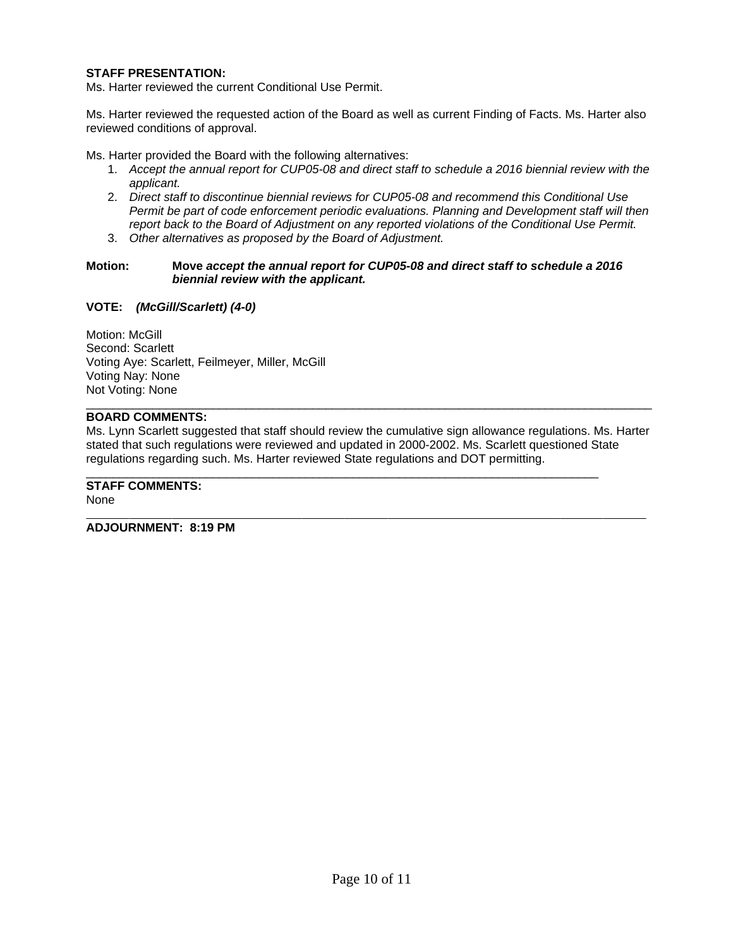## **STAFF PRESENTATION:**

Ms. Harter reviewed the current Conditional Use Permit.

Ms. Harter reviewed the requested action of the Board as well as current Finding of Facts. Ms. Harter also reviewed conditions of approval.

Ms. Harter provided the Board with the following alternatives:

- 1. *Accept the annual report for CUP05-08 and direct staff to schedule a 2016 biennial review with the applicant.*
- 2. *Direct staff to discontinue biennial reviews for CUP05-08 and recommend this Conditional Use Permit be part of code enforcement periodic evaluations. Planning and Development staff will then report back to the Board of Adjustment on any reported violations of the Conditional Use Permit.*
- 3. *Other alternatives as proposed by the Board of Adjustment.*

#### **Motion: Move** *accept the annual report for CUP05-08 and direct staff to schedule a 2016 biennial review with the applicant.*

### **VOTE:** *(McGill/Scarlett) (4-0)*

Motion: McGill Second: Scarlett Voting Aye: Scarlett, Feilmeyer, Miller, McGill Voting Nay: None Not Voting: None

# **BOARD COMMENTS:**

Ms. Lynn Scarlett suggested that staff should review the cumulative sign allowance regulations. Ms. Harter stated that such regulations were reviewed and updated in 2000-2002. Ms. Scarlett questioned State regulations regarding such. Ms. Harter reviewed State regulations and DOT permitting.

\_\_\_\_\_\_\_\_\_\_\_\_\_\_\_\_\_\_\_\_\_\_\_\_\_\_\_\_\_\_\_\_\_\_\_\_\_\_\_\_\_\_\_\_\_\_\_\_\_\_\_\_\_\_\_\_\_\_\_\_\_\_\_\_\_\_\_\_\_\_\_\_\_\_\_\_\_\_\_\_\_\_\_\_\_

# \_\_\_\_\_\_\_\_\_\_\_\_\_\_\_\_\_\_\_\_\_\_\_\_\_\_\_\_\_\_\_\_\_\_\_\_\_\_\_\_\_\_\_\_\_\_\_\_\_\_\_\_\_\_\_\_\_\_\_\_\_\_\_\_\_\_\_\_\_\_\_\_\_\_\_\_\_ **STAFF COMMENTS:**

None

 $\overline{a}$ **ADJOURNMENT: 8:19 PM**